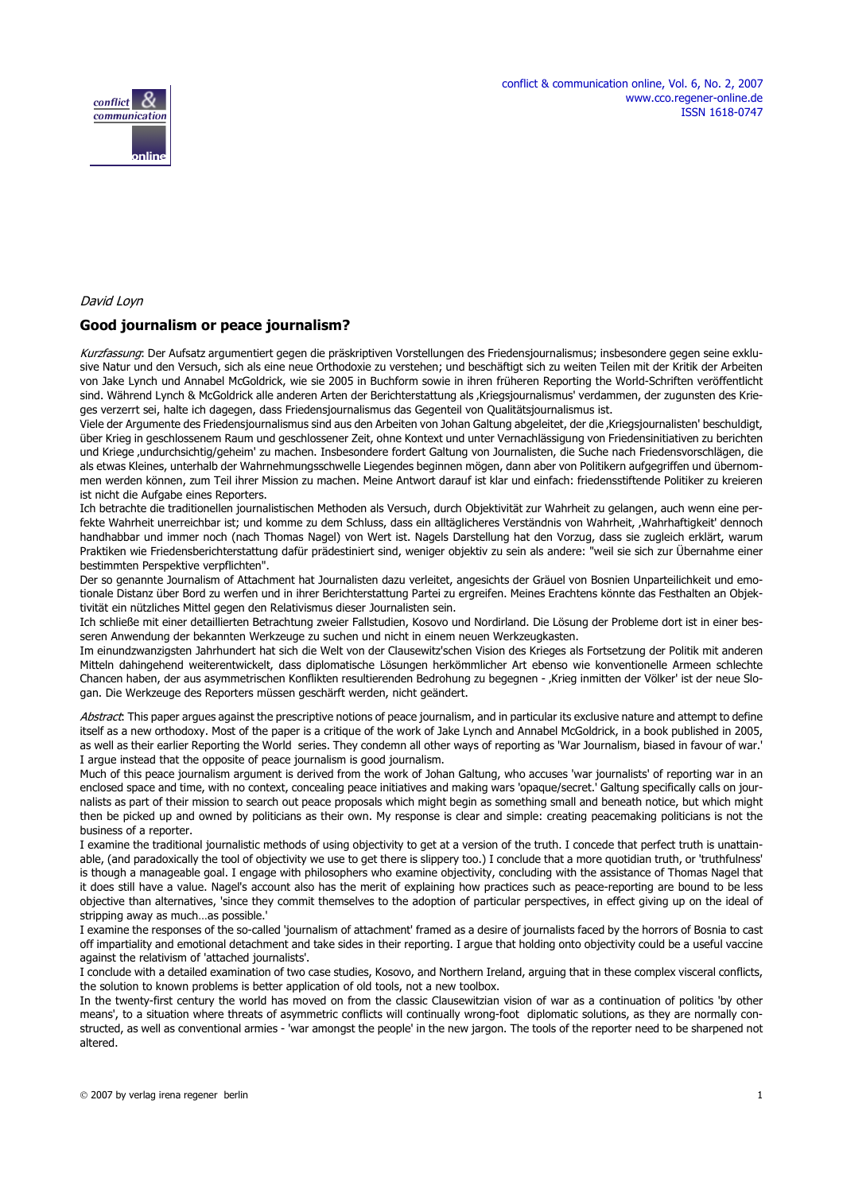



### David Loyn

#### **Good journalism or peace journalism?**

Kurzfassung: Der Aufsatz argumentiert gegen die präskriptiven Vorstellungen des Friedensjournalismus; insbesondere gegen seine exklusive Natur und den Versuch, sich als eine neue Orthodoxie zu verstehen; und beschäftigt sich zu weiten Teilen mit der Kritik der Arbeiten von Jake Lynch und Annabel McGoldrick, wie sie 2005 in Buchform sowie in ihren früheren Reporting the World-Schriften veröffentlicht sind. Während Lynch & McGoldrick alle anderen Arten der Berichterstattung als 'Kriegsjournalismus' verdammen, der zugunsten des Krieges verzerrt sei, halte ich dagegen, dass Friedensjournalismus das Gegenteil von Qualitätsjournalismus ist.

Viele der Argumente des Friedensjournalismus sind aus den Arbeiten von Johan Galtung abgeleitet, der die 'Kriegsjournalisten' beschuldigt, über Krieg in geschlossenem Raum und geschlossener Zeit, ohne Kontext und unter Vernachlässigung von Friedensinitiativen zu berichten und Kriege 'undurchsichtig/geheim' zu machen. Insbesondere fordert Galtung von Journalisten, die Suche nach Friedensvorschlägen, die als etwas Kleines, unterhalb der Wahrnehmungsschwelle Liegendes beginnen mögen, dann aber von Politikern aufgegriffen und übernommen werden können, zum Teil ihrer Mission zu machen. Meine Antwort darauf ist klar und einfach: friedensstiftende Politiker zu kreieren ist nicht die Aufgabe eines Reporters.

Ich betrachte die traditionellen journalistischen Methoden als Versuch, durch Objektivität zur Wahrheit zu gelangen, auch wenn eine perfekte Wahrheit unerreichbar ist; und komme zu dem Schluss, dass ein alltäglicheres Verständnis von Wahrheit, 'Wahrhaftigkeit' dennoch handhabbar und immer noch (nach Thomas Nagel) von Wert ist. Nagels Darstellung hat den Vorzug, dass sie zugleich erklärt, warum Praktiken wie Friedensberichterstattung dafür prädestiniert sind, weniger objektiv zu sein als andere: "weil sie sich zur Übernahme einer bestimmten Perspektive verpflichten".

Der so genannte Journalism of Attachment hat Journalisten dazu verleitet, angesichts der Gräuel von Bosnien Unparteilichkeit und emotionale Distanz über Bord zu werfen und in ihrer Berichterstattung Partei zu ergreifen. Meines Erachtens könnte das Festhalten an Objektivität ein nützliches Mittel gegen den Relativismus dieser Journalisten sein.

Ich schließe mit einer detaillierten Betrachtung zweier Fallstudien, Kosovo und Nordirland. Die Lösung der Probleme dort ist in einer besseren Anwendung der bekannten Werkzeuge zu suchen und nicht in einem neuen Werkzeugkasten.

Im einundzwanzigsten Jahrhundert hat sich die Welt von der Clausewitz'schen Vision des Krieges als Fortsetzung der Politik mit anderen Mitteln dahingehend weiterentwickelt, dass diplomatische Lösungen herkömmlicher Art ebenso wie konventionelle Armeen schlechte Chancen haben, der aus asymmetrischen Konflikten resultierenden Bedrohung zu begegnen - 'Krieg inmitten der Völker' ist der neue Slogan. Die Werkzeuge des Reporters müssen geschärft werden, nicht geändert.

Abstract: This paper argues against the prescriptive notions of peace journalism, and in particular its exclusive nature and attempt to define itself as a new orthodoxy. Most of the paper is a critique of the work of Jake Lynch and Annabel McGoldrick, in a book published in 2005, as well as their earlier Reporting the World series. They condemn all other ways of reporting as 'War Journalism, biased in favour of war.' I argue instead that the opposite of peace journalism is good journalism.

Much of this peace journalism argument is derived from the work of Johan Galtung, who accuses 'war journalists' of reporting war in an enclosed space and time, with no context, concealing peace initiatives and making wars 'opaque/secret.' Galtung specifically calls on journalists as part of their mission to search out peace proposals which might begin as something small and beneath notice, but which might then be picked up and owned by politicians as their own. My response is clear and simple: creating peacemaking politicians is not the business of a reporter.

I examine the traditional journalistic methods of using objectivity to get at a version of the truth. I concede that perfect truth is unattainable, (and paradoxically the tool of objectivity we use to get there is slippery too.) I conclude that a more quotidian truth, or 'truthfulness' is though a manageable goal. I engage with philosophers who examine objectivity, concluding with the assistance of Thomas Nagel that it does still have a value. Nagel's account also has the merit of explaining how practices such as peace-reporting are bound to be less objective than alternatives, 'since they commit themselves to the adoption of particular perspectives, in effect giving up on the ideal of stripping away as much…as possible.'

I examine the responses of the so-called 'journalism of attachment' framed as a desire of journalists faced by the horrors of Bosnia to cast off impartiality and emotional detachment and take sides in their reporting. I argue that holding onto objectivity could be a useful vaccine against the relativism of 'attached journalists'.

I conclude with a detailed examination of two case studies, Kosovo, and Northern Ireland, arguing that in these complex visceral conflicts, the solution to known problems is better application of old tools, not a new toolbox.

In the twenty-first century the world has moved on from the classic Clausewitzian vision of war as a continuation of politics 'by other means', to a situation where threats of asymmetric conflicts will continually wrong-foot diplomatic solutions, as they are normally constructed, as well as conventional armies - 'war amongst the people' in the new jargon. The tools of the reporter need to be sharpened not altered.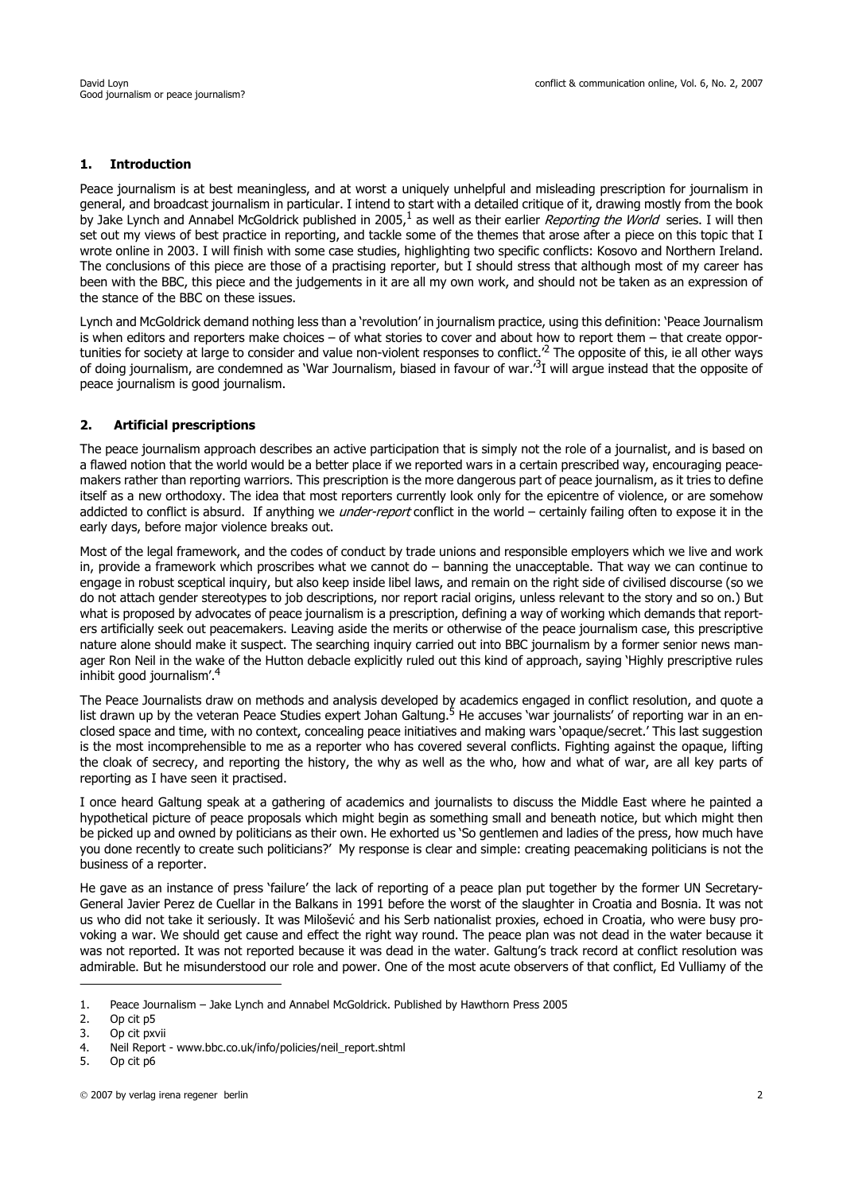### **1. Introduction**

Peace journalism is at best meaningless, and at worst a uniquely unhelpful and misleading prescription for journalism in general, and broadcast journalism in particular. I intend to start with a detailed critique of it, drawing mostly from the book by Jake Lynch and Annabel McGoldrick published in 2005, $^1$  as well as their earlier Reporting the World series. I will then set out my views of best practice in reporting, and tackle some of the themes that arose after a piece on this topic that I wrote online in 2003. I will finish with some case studies, highlighting two specific conflicts: Kosovo and Northern Ireland. The conclusions of this piece are those of a practising reporter, but I should stress that although most of my career has been with the BBC, this piece and the judgements in it are all my own work, and should not be taken as an expression of the stance of the BBC on these issues.

Lynch and McGoldrick demand nothing less than a 'revolution' in journalism practice, using this definition: 'Peace Journalism is when editors and reporters make choices – of what stories to cover and about how to report them – that create opportunities for society at large to consider and value non-violent responses to conflict.<sup>2</sup> The opposite of this, ie all other ways of doing journalism, are condemned as 'War Journalism, biased in favour of war.'3I will argue instead that the opposite of peace journalism is good journalism.

### **2. Artificial prescriptions**

The peace journalism approach describes an active participation that is simply not the role of a journalist, and is based on a flawed notion that the world would be a better place if we reported wars in a certain prescribed way, encouraging peacemakers rather than reporting warriors. This prescription is the more dangerous part of peace journalism, as it tries to define itself as a new orthodoxy. The idea that most reporters currently look only for the epicentre of violence, or are somehow addicted to conflict is absurd. If anything we *under-report* conflict in the world – certainly failing often to expose it in the early days, before major violence breaks out.

Most of the legal framework, and the codes of conduct by trade unions and responsible employers which we live and work in, provide a framework which proscribes what we cannot do – banning the unacceptable. That way we can continue to engage in robust sceptical inquiry, but also keep inside libel laws, and remain on the right side of civilised discourse (so we do not attach gender stereotypes to job descriptions, nor report racial origins, unless relevant to the story and so on.) But what is proposed by advocates of peace journalism is a prescription, defining a way of working which demands that reporters artificially seek out peacemakers. Leaving aside the merits or otherwise of the peace journalism case, this prescriptive nature alone should make it suspect. The searching inquiry carried out into BBC journalism by a former senior news manager Ron Neil in the wake of the Hutton debacle explicitly ruled out this kind of approach, saying 'Highly prescriptive rules inhibit good journalism'.4

The Peace Journalists draw on methods and analysis developed by academics engaged in conflict resolution, and quote a list drawn up by the veteran Peace Studies expert Johan Galtung.<sup>5</sup> He accuses 'war journalists' of reporting war in an enclosed space and time, with no context, concealing peace initiatives and making wars 'opaque/secret.' This last suggestion is the most incomprehensible to me as a reporter who has covered several conflicts. Fighting against the opaque, lifting the cloak of secrecy, and reporting the history, the why as well as the who, how and what of war, are all key parts of reporting as I have seen it practised.

I once heard Galtung speak at a gathering of academics and journalists to discuss the Middle East where he painted a hypothetical picture of peace proposals which might begin as something small and beneath notice, but which might then be picked up and owned by politicians as their own. He exhorted us 'So gentlemen and ladies of the press, how much have you done recently to create such politicians?' My response is clear and simple: creating peacemaking politicians is not the business of a reporter.

He gave as an instance of press 'failure' the lack of reporting of a peace plan put together by the former UN Secretary-General Javier Perez de Cuellar in the Balkans in 1991 before the worst of the slaughter in Croatia and Bosnia. It was not us who did not take it seriously. It was Milošević and his Serb nationalist proxies, echoed in Croatia, who were busy provoking a war. We should get cause and effect the right way round. The peace plan was not dead in the water because it was not reported. It was not reported because it was dead in the water. Galtung's track record at conflict resolution was admirable. But he misunderstood our role and power. One of the most acute observers of that conflict, Ed Vulliamy of the

<sup>1.</sup> Peace Journalism – Jake Lynch and Annabel McGoldrick. Published by Hawthorn Press 2005

<sup>2.</sup> Op cit p5

<sup>3.</sup> Op cit pxvii

<sup>4.</sup> Neil Report - www.bbc.co.uk/info/policies/neil\_report.shtml

<sup>5.</sup> Op cit p6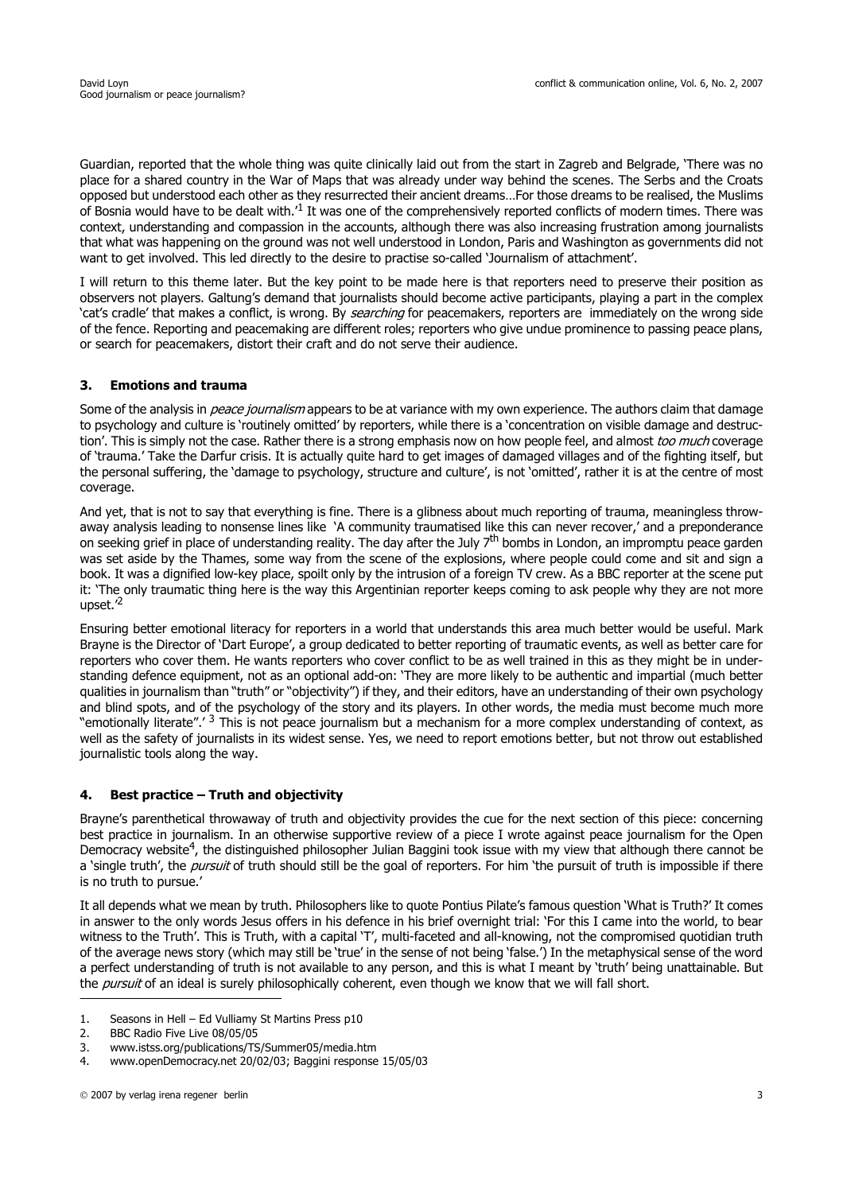Guardian, reported that the whole thing was quite clinically laid out from the start in Zagreb and Belgrade, 'There was no place for a shared country in the War of Maps that was already under way behind the scenes. The Serbs and the Croats opposed but understood each other as they resurrected their ancient dreams…For those dreams to be realised, the Muslims of Bosnia would have to be dealt with.<sup>1</sup> It was one of the comprehensively reported conflicts of modern times. There was context, understanding and compassion in the accounts, although there was also increasing frustration among journalists that what was happening on the ground was not well understood in London, Paris and Washington as governments did not want to get involved. This led directly to the desire to practise so-called 'Journalism of attachment'.

I will return to this theme later. But the key point to be made here is that reporters need to preserve their position as observers not players. Galtung's demand that journalists should become active participants, playing a part in the complex 'cat's cradle' that makes a conflict, is wrong. By *searching* for peacemakers, reporters are immediately on the wrong side of the fence. Reporting and peacemaking are different roles; reporters who give undue prominence to passing peace plans, or search for peacemakers, distort their craft and do not serve their audience.

### **3. Emotions and trauma**

Some of the analysis in *peace journalism* appears to be at variance with my own experience. The authors claim that damage to psychology and culture is 'routinely omitted' by reporters, while there is a 'concentration on visible damage and destruction'. This is simply not the case. Rather there is a strong emphasis now on how people feel, and almost too much coverage of 'trauma.' Take the Darfur crisis. It is actually quite hard to get images of damaged villages and of the fighting itself, but the personal suffering, the 'damage to psychology, structure and culture', is not 'omitted', rather it is at the centre of most coverage.

And yet, that is not to say that everything is fine. There is a glibness about much reporting of trauma, meaningless throwaway analysis leading to nonsense lines like 'A community traumatised like this can never recover,' and a preponderance on seeking grief in place of understanding reality. The day after the July 7<sup>th</sup> bombs in London, an impromptu peace garden was set aside by the Thames, some way from the scene of the explosions, where people could come and sit and sign a book. It was a dignified low-key place, spoilt only by the intrusion of a foreign TV crew. As a BBC reporter at the scene put it: 'The only traumatic thing here is the way this Argentinian reporter keeps coming to ask people why they are not more upset.'<sup>2</sup>

Ensuring better emotional literacy for reporters in a world that understands this area much better would be useful. Mark Brayne is the Director of 'Dart Europe', a group dedicated to better reporting of traumatic events, as well as better care for reporters who cover them. He wants reporters who cover conflict to be as well trained in this as they might be in understanding defence equipment, not as an optional add-on: 'They are more likely to be authentic and impartial (much better qualities in journalism than "truth" or "objectivity") if they, and their editors, have an understanding of their own psychology and blind spots, and of the psychology of the story and its players. In other words, the media must become much more "emotionally literate".' 3 This is not peace journalism but a mechanism for a more complex understanding of context, as well as the safety of journalists in its widest sense. Yes, we need to report emotions better, but not throw out established journalistic tools along the way.

### **4. Best practice – Truth and objectivity**

Brayne's parenthetical throwaway of truth and objectivity provides the cue for the next section of this piece: concerning best practice in journalism. In an otherwise supportive review of a piece I wrote against peace journalism for the Open Democracy website<sup>4</sup>, the distinguished philosopher Julian Baggini took issue with my view that although there cannot be a 'single truth', the *pursuit* of truth should still be the goal of reporters. For him 'the pursuit of truth is impossible if there is no truth to pursue.'

It all depends what we mean by truth. Philosophers like to quote Pontius Pilate's famous question 'What is Truth?' It comes in answer to the only words Jesus offers in his defence in his brief overnight trial: 'For this I came into the world, to bear witness to the Truth'. This is Truth, with a capital 'T', multi-faceted and all-knowing, not the compromised quotidian truth of the average news story (which may still be 'true' in the sense of not being 'false.') In the metaphysical sense of the word a perfect understanding of truth is not available to any person, and this is what I meant by 'truth' being unattainable. But the pursuit of an ideal is surely philosophically coherent, even though we know that we will fall short.

<sup>1.</sup> Seasons in Hell – Ed Vulliamy St Martins Press p10

<sup>2.</sup> BBC Radio Five Live 08/05/05

<sup>3.</sup> www.istss.org/publications/TS/Summer05/media.htm

<sup>4.</sup> www.openDemocracy.net 20/02/03; Baggini response 15/05/03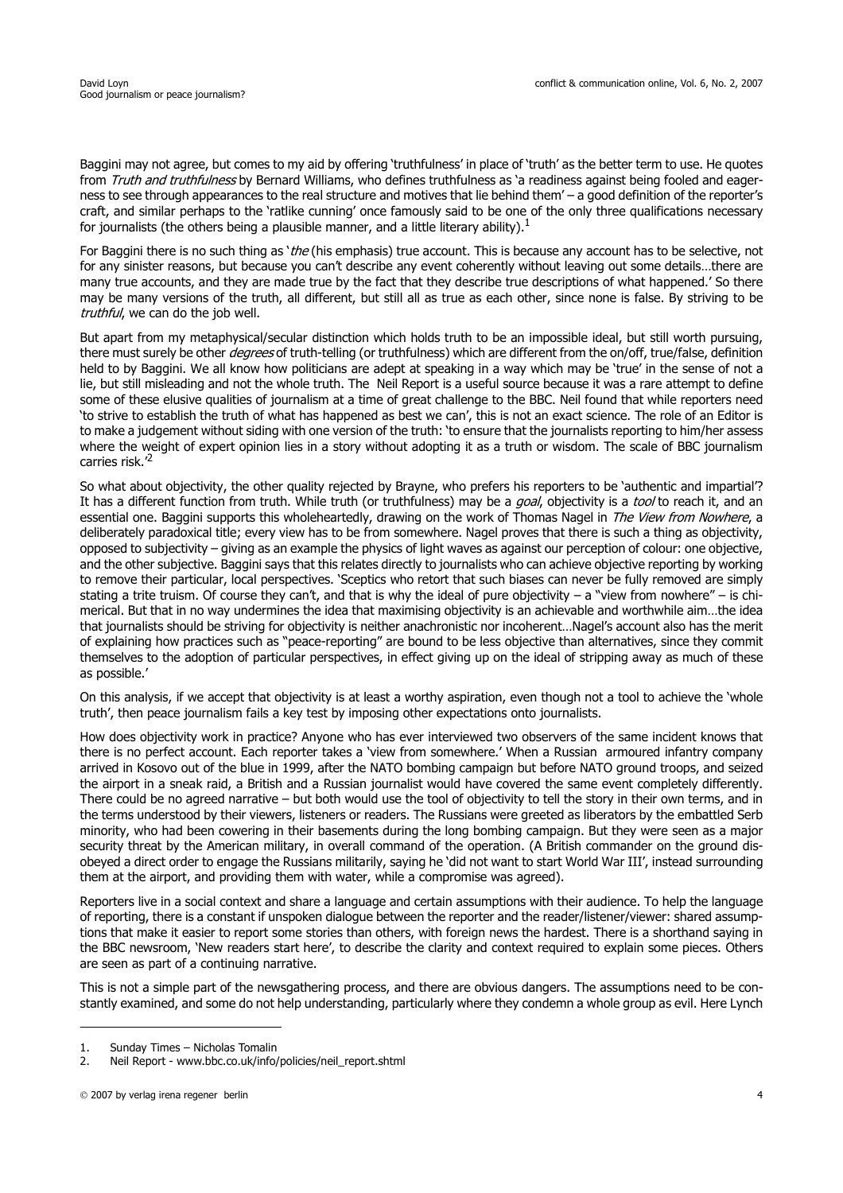Baggini may not agree, but comes to my aid by offering 'truthfulness' in place of 'truth' as the better term to use. He quotes from Truth and truthfulness by Bernard Williams, who defines truthfulness as 'a readiness against being fooled and eagerness to see through appearances to the real structure and motives that lie behind them' – a good definition of the reporter's craft, and similar perhaps to the 'ratlike cunning' once famously said to be one of the only three qualifications necessary for journalists (the others being a plausible manner, and a little literary ability).<sup>1</sup>

For Baggini there is no such thing as 'the (his emphasis) true account. This is because any account has to be selective, not for any sinister reasons, but because you can't describe any event coherently without leaving out some details…there are many true accounts, and they are made true by the fact that they describe true descriptions of what happened.' So there may be many versions of the truth, all different, but still all as true as each other, since none is false. By striving to be truthful, we can do the job well.

But apart from my metaphysical/secular distinction which holds truth to be an impossible ideal, but still worth pursuing, there must surely be other *degrees* of truth-telling (or truthfulness) which are different from the on/off, true/false, definition held to by Baggini. We all know how politicians are adept at speaking in a way which may be 'true' in the sense of not a lie, but still misleading and not the whole truth. The Neil Report is a useful source because it was a rare attempt to define some of these elusive qualities of journalism at a time of great challenge to the BBC. Neil found that while reporters need 'to strive to establish the truth of what has happened as best we can', this is not an exact science. The role of an Editor is to make a judgement without siding with one version of the truth: 'to ensure that the journalists reporting to him/her assess where the weight of expert opinion lies in a story without adopting it as a truth or wisdom. The scale of BBC journalism carries risk.'2

So what about objectivity, the other quality rejected by Brayne, who prefers his reporters to be 'authentic and impartial'? It has a different function from truth. While truth (or truthfulness) may be a *goal*, objectivity is a *tool* to reach it, and an essential one. Baggini supports this wholeheartedly, drawing on the work of Thomas Nagel in The View from Nowhere, a deliberately paradoxical title; every view has to be from somewhere. Nagel proves that there is such a thing as objectivity, opposed to subjectivity – giving as an example the physics of light waves as against our perception of colour: one objective, and the other subjective. Baggini says that this relates directly to journalists who can achieve objective reporting by working to remove their particular, local perspectives. 'Sceptics who retort that such biases can never be fully removed are simply stating a trite truism. Of course they can't, and that is why the ideal of pure objectivity – a "view from nowhere" – is chimerical. But that in no way undermines the idea that maximising objectivity is an achievable and worthwhile aim…the idea that journalists should be striving for objectivity is neither anachronistic nor incoherent…Nagel's account also has the merit of explaining how practices such as "peace-reporting" are bound to be less objective than alternatives, since they commit themselves to the adoption of particular perspectives, in effect giving up on the ideal of stripping away as much of these as possible.'

On this analysis, if we accept that objectivity is at least a worthy aspiration, even though not a tool to achieve the 'whole truth', then peace journalism fails a key test by imposing other expectations onto journalists.

How does objectivity work in practice? Anyone who has ever interviewed two observers of the same incident knows that there is no perfect account. Each reporter takes a 'view from somewhere.' When a Russian armoured infantry company arrived in Kosovo out of the blue in 1999, after the NATO bombing campaign but before NATO ground troops, and seized the airport in a sneak raid, a British and a Russian journalist would have covered the same event completely differently. There could be no agreed narrative – but both would use the tool of objectivity to tell the story in their own terms, and in the terms understood by their viewers, listeners or readers. The Russians were greeted as liberators by the embattled Serb minority, who had been cowering in their basements during the long bombing campaign. But they were seen as a major security threat by the American military, in overall command of the operation. (A British commander on the ground disobeyed a direct order to engage the Russians militarily, saying he 'did not want to start World War III', instead surrounding them at the airport, and providing them with water, while a compromise was agreed).

Reporters live in a social context and share a language and certain assumptions with their audience. To help the language of reporting, there is a constant if unspoken dialogue between the reporter and the reader/listener/viewer: shared assumptions that make it easier to report some stories than others, with foreign news the hardest. There is a shorthand saying in the BBC newsroom, 'New readers start here', to describe the clarity and context required to explain some pieces. Others are seen as part of a continuing narrative.

This is not a simple part of the newsgathering process, and there are obvious dangers. The assumptions need to be constantly examined, and some do not help understanding, particularly where they condemn a whole group as evil. Here Lynch

<sup>1.</sup> Sunday Times – Nicholas Tomalin

<sup>2.</sup> Neil Report - www.bbc.co.uk/info/policies/neil\_report.shtml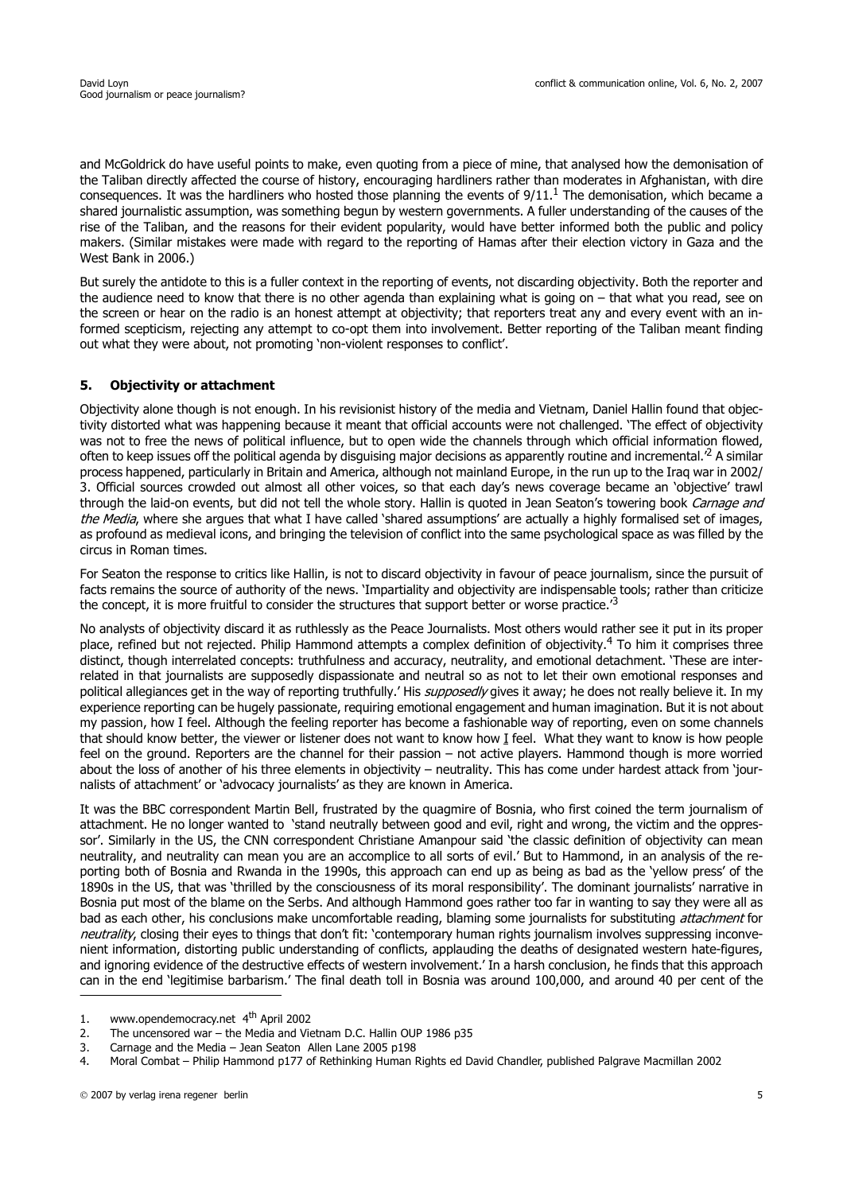and McGoldrick do have useful points to make, even quoting from a piece of mine, that analysed how the demonisation of the Taliban directly affected the course of history, encouraging hardliners rather than moderates in Afghanistan, with dire consequences. It was the hardliners who hosted those planning the events of  $9/11<sup>1</sup>$ . The demonisation, which became a shared journalistic assumption, was something begun by western governments. A fuller understanding of the causes of the rise of the Taliban, and the reasons for their evident popularity, would have better informed both the public and policy makers. (Similar mistakes were made with regard to the reporting of Hamas after their election victory in Gaza and the West Bank in 2006.)

But surely the antidote to this is a fuller context in the reporting of events, not discarding objectivity. Both the reporter and the audience need to know that there is no other agenda than explaining what is going on – that what you read, see on the screen or hear on the radio is an honest attempt at objectivity; that reporters treat any and every event with an informed scepticism, rejecting any attempt to co-opt them into involvement. Better reporting of the Taliban meant finding out what they were about, not promoting 'non-violent responses to conflict'.

# **5. Objectivity or attachment**

Objectivity alone though is not enough. In his revisionist history of the media and Vietnam, Daniel Hallin found that objectivity distorted what was happening because it meant that official accounts were not challenged. 'The effect of objectivity was not to free the news of political influence, but to open wide the channels through which official information flowed, often to keep issues off the political agenda by disguising major decisions as apparently routine and incremental.'2 A similar process happened, particularly in Britain and America, although not mainland Europe, in the run up to the Iraq war in 2002/ 3. Official sources crowded out almost all other voices, so that each day's news coverage became an 'objective' trawl through the laid-on events, but did not tell the whole story. Hallin is quoted in Jean Seaton's towering book Carnage and the Media, where she argues that what I have called 'shared assumptions' are actually a highly formalised set of images, as profound as medieval icons, and bringing the television of conflict into the same psychological space as was filled by the circus in Roman times.

For Seaton the response to critics like Hallin, is not to discard objectivity in favour of peace journalism, since the pursuit of facts remains the source of authority of the news. 'Impartiality and objectivity are indispensable tools; rather than criticize the concept, it is more fruitful to consider the structures that support better or worse practice.<sup>3</sup>

No analysts of objectivity discard it as ruthlessly as the Peace Journalists. Most others would rather see it put in its proper place, refined but not rejected. Philip Hammond attempts a complex definition of objectivity.<sup>4</sup> To him it comprises three distinct, though interrelated concepts: truthfulness and accuracy, neutrality, and emotional detachment. 'These are interrelated in that journalists are supposedly dispassionate and neutral so as not to let their own emotional responses and political allegiances get in the way of reporting truthfully.' His *supposedly* gives it away; he does not really believe it. In my experience reporting can be hugely passionate, requiring emotional engagement and human imagination. But it is not about my passion, how I feel. Although the feeling reporter has become a fashionable way of reporting, even on some channels that should know better, the viewer or listener does not want to know how I feel. What they want to know is how people feel on the ground. Reporters are the channel for their passion – not active players. Hammond though is more worried about the loss of another of his three elements in objectivity – neutrality. This has come under hardest attack from 'journalists of attachment' or 'advocacy journalists' as they are known in America.

It was the BBC correspondent Martin Bell, frustrated by the quagmire of Bosnia, who first coined the term journalism of attachment. He no longer wanted to 'stand neutrally between good and evil, right and wrong, the victim and the oppressor'. Similarly in the US, the CNN correspondent Christiane Amanpour said 'the classic definition of objectivity can mean neutrality, and neutrality can mean you are an accomplice to all sorts of evil.' But to Hammond, in an analysis of the reporting both of Bosnia and Rwanda in the 1990s, this approach can end up as being as bad as the 'yellow press' of the 1890s in the US, that was 'thrilled by the consciousness of its moral responsibility'. The dominant journalists' narrative in Bosnia put most of the blame on the Serbs. And although Hammond goes rather too far in wanting to say they were all as bad as each other, his conclusions make uncomfortable reading, blaming some journalists for substituting *attachment* for neutrality, closing their eyes to things that don't fit: 'contemporary human rights journalism involves suppressing inconvenient information, distorting public understanding of conflicts, applauding the deaths of designated western hate-figures, and ignoring evidence of the destructive effects of western involvement.' In a harsh conclusion, he finds that this approach can in the end 'legitimise barbarism.' The final death toll in Bosnia was around 100,000, and around 40 per cent of the

<sup>1.</sup> www.opendemocracy.net 4th April 2002

<sup>2.</sup> The uncensored war – the Media and Vietnam D.C. Hallin OUP 1986 p35

<sup>3.</sup> Carnage and the Media – Jean Seaton Allen Lane 2005 p198

<sup>4.</sup> Moral Combat – Philip Hammond p177 of Rethinking Human Rights ed David Chandler, published Palgrave Macmillan 2002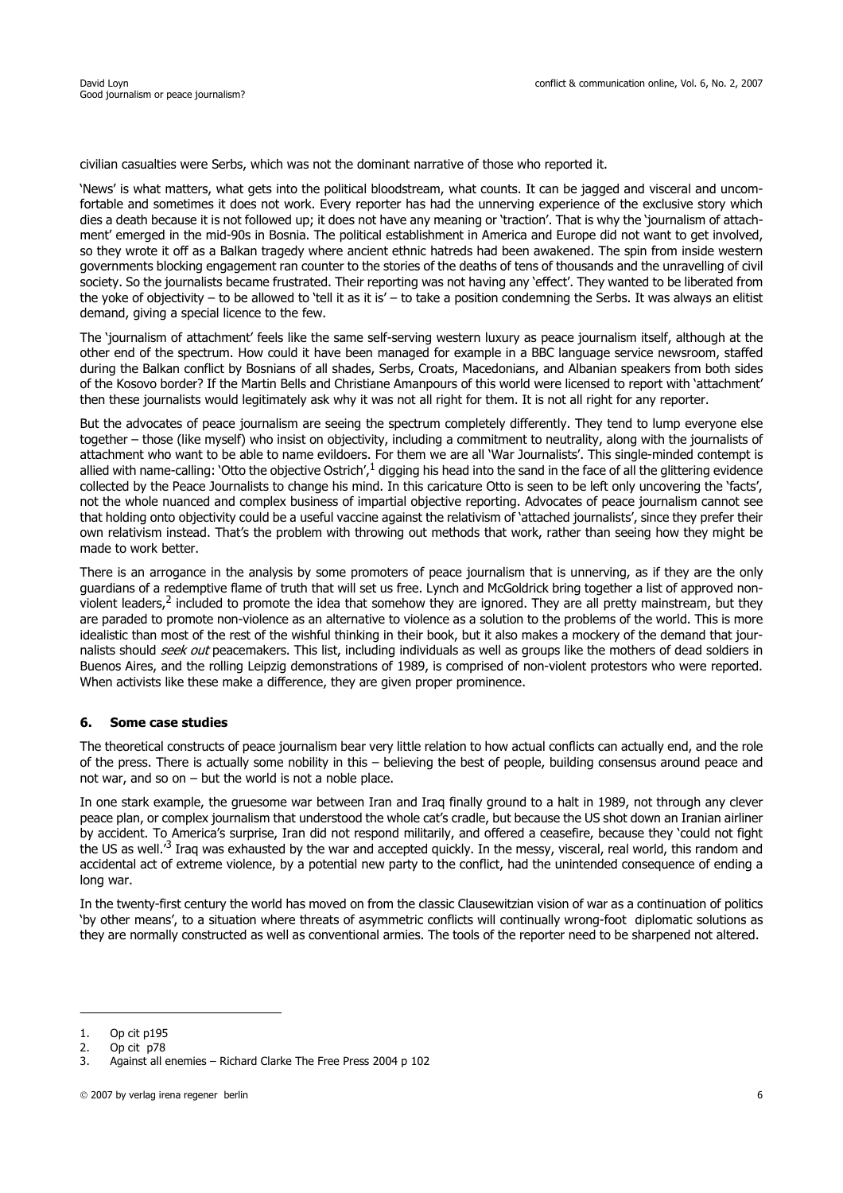civilian casualties were Serbs, which was not the dominant narrative of those who reported it.

'News' is what matters, what gets into the political bloodstream, what counts. It can be jagged and visceral and uncomfortable and sometimes it does not work. Every reporter has had the unnerving experience of the exclusive story which dies a death because it is not followed up; it does not have any meaning or 'traction'. That is why the 'journalism of attachment' emerged in the mid-90s in Bosnia. The political establishment in America and Europe did not want to get involved, so they wrote it off as a Balkan tragedy where ancient ethnic hatreds had been awakened. The spin from inside western governments blocking engagement ran counter to the stories of the deaths of tens of thousands and the unravelling of civil society. So the journalists became frustrated. Their reporting was not having any 'effect'. They wanted to be liberated from the yoke of objectivity – to be allowed to 'tell it as it is' – to take a position condemning the Serbs. It was always an elitist demand, giving a special licence to the few.

The 'journalism of attachment' feels like the same self-serving western luxury as peace journalism itself, although at the other end of the spectrum. How could it have been managed for example in a BBC language service newsroom, staffed during the Balkan conflict by Bosnians of all shades, Serbs, Croats, Macedonians, and Albanian speakers from both sides of the Kosovo border? If the Martin Bells and Christiane Amanpours of this world were licensed to report with 'attachment' then these journalists would legitimately ask why it was not all right for them. It is not all right for any reporter.

But the advocates of peace journalism are seeing the spectrum completely differently. They tend to lump everyone else together – those (like myself) who insist on objectivity, including a commitment to neutrality, along with the journalists of attachment who want to be able to name evildoers. For them we are all 'War Journalists'. This single-minded contempt is allied with name-calling: 'Otto the objective Ostrich', $1$  digging his head into the sand in the face of all the glittering evidence collected by the Peace Journalists to change his mind. In this caricature Otto is seen to be left only uncovering the 'facts', not the whole nuanced and complex business of impartial objective reporting. Advocates of peace journalism cannot see that holding onto objectivity could be a useful vaccine against the relativism of 'attached journalists', since they prefer their own relativism instead. That's the problem with throwing out methods that work, rather than seeing how they might be made to work better.

There is an arrogance in the analysis by some promoters of peace journalism that is unnerving, as if they are the only guardians of a redemptive flame of truth that will set us free. Lynch and McGoldrick bring together a list of approved nonviolent leaders,<sup>2</sup> included to promote the idea that somehow they are ignored. They are all pretty mainstream, but they are paraded to promote non-violence as an alternative to violence as a solution to the problems of the world. This is more idealistic than most of the rest of the wishful thinking in their book, but it also makes a mockery of the demand that journalists should seek out peacemakers. This list, including individuals as well as groups like the mothers of dead soldiers in Buenos Aires, and the rolling Leipzig demonstrations of 1989, is comprised of non-violent protestors who were reported. When activists like these make a difference, they are given proper prominence.

### **6. Some case studies**

The theoretical constructs of peace journalism bear very little relation to how actual conflicts can actually end, and the role of the press. There is actually some nobility in this – believing the best of people, building consensus around peace and not war, and so on – but the world is not a noble place.

In one stark example, the gruesome war between Iran and Iraq finally ground to a halt in 1989, not through any clever peace plan, or complex journalism that understood the whole cat's cradle, but because the US shot down an Iranian airliner by accident. To America's surprise, Iran did not respond militarily, and offered a ceasefire, because they 'could not fight the US as well.<sup>3</sup> Iraq was exhausted by the war and accepted quickly. In the messy, visceral, real world, this random and accidental act of extreme violence, by a potential new party to the conflict, had the unintended consequence of ending a long war.

In the twenty-first century the world has moved on from the classic Clausewitzian vision of war as a continuation of politics 'by other means', to a situation where threats of asymmetric conflicts will continually wrong-foot diplomatic solutions as they are normally constructed as well as conventional armies. The tools of the reporter need to be sharpened not altered.

<sup>1.</sup> Op cit p195

<sup>2.</sup> Op cit p78

<sup>3.</sup> Against all enemies – Richard Clarke The Free Press 2004 p 102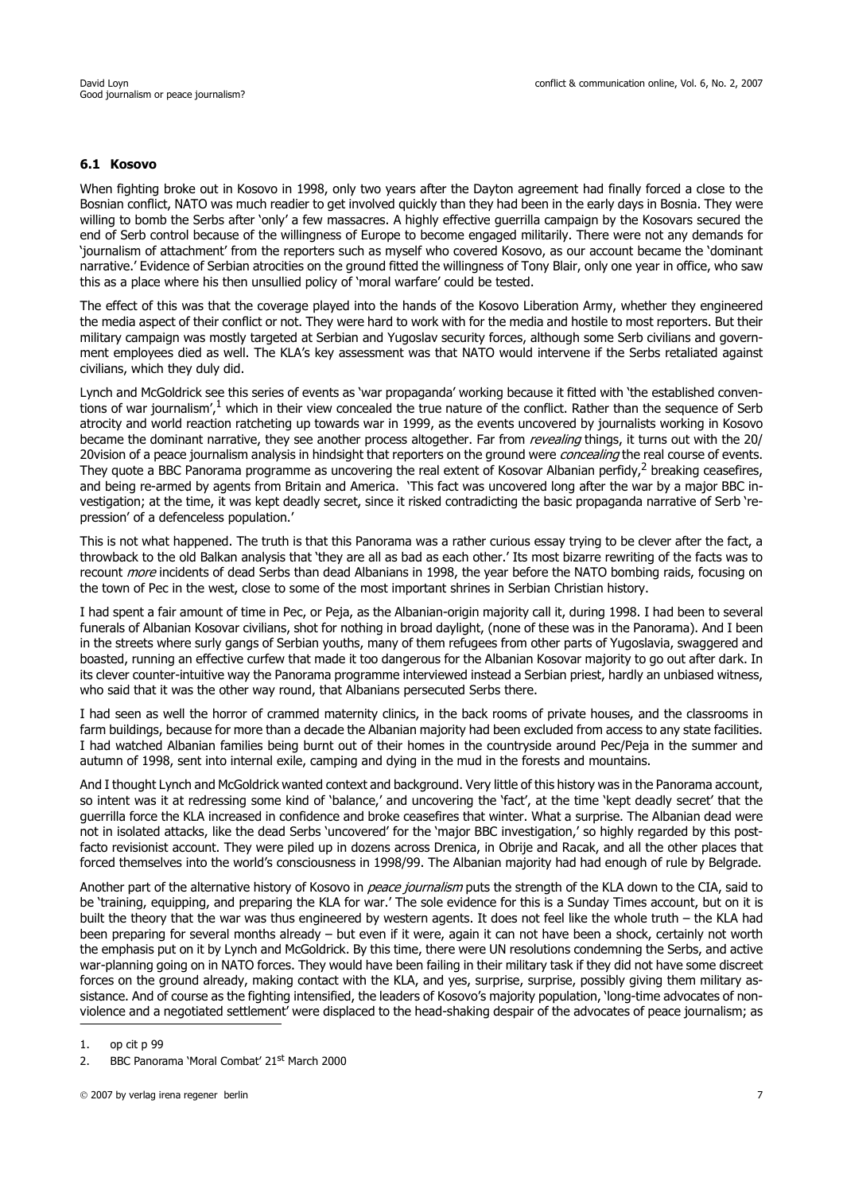#### **6.1 Kosovo**

When fighting broke out in Kosovo in 1998, only two years after the Dayton agreement had finally forced a close to the Bosnian conflict, NATO was much readier to get involved quickly than they had been in the early days in Bosnia. They were willing to bomb the Serbs after 'only' a few massacres. A highly effective guerrilla campaign by the Kosovars secured the end of Serb control because of the willingness of Europe to become engaged militarily. There were not any demands for 'journalism of attachment' from the reporters such as myself who covered Kosovo, as our account became the 'dominant narrative.' Evidence of Serbian atrocities on the ground fitted the willingness of Tony Blair, only one year in office, who saw this as a place where his then unsullied policy of 'moral warfare' could be tested.

The effect of this was that the coverage played into the hands of the Kosovo Liberation Army, whether they engineered the media aspect of their conflict or not. They were hard to work with for the media and hostile to most reporters. But their military campaign was mostly targeted at Serbian and Yugoslav security forces, although some Serb civilians and government employees died as well. The KLA's key assessment was that NATO would intervene if the Serbs retaliated against civilians, which they duly did.

Lynch and McGoldrick see this series of events as 'war propaganda' working because it fitted with 'the established conventions of war journalism', $1$  which in their view concealed the true nature of the conflict. Rather than the sequence of Serb atrocity and world reaction ratcheting up towards war in 1999, as the events uncovered by journalists working in Kosovo became the dominant narrative, they see another process altogether. Far from *revealing* things, it turns out with the 20/ 20vision of a peace journalism analysis in hindsight that reporters on the ground were concealing the real course of events. They quote a BBC Panorama programme as uncovering the real extent of Kosovar Albanian perfidy, $^2$  breaking ceasefires, and being re-armed by agents from Britain and America. 'This fact was uncovered long after the war by a major BBC investigation; at the time, it was kept deadly secret, since it risked contradicting the basic propaganda narrative of Serb 'repression' of a defenceless population.'

This is not what happened. The truth is that this Panorama was a rather curious essay trying to be clever after the fact, a throwback to the old Balkan analysis that 'they are all as bad as each other.' Its most bizarre rewriting of the facts was to recount *more* incidents of dead Serbs than dead Albanians in 1998, the year before the NATO bombing raids, focusing on the town of Pec in the west, close to some of the most important shrines in Serbian Christian history.

I had spent a fair amount of time in Pec, or Peja, as the Albanian-origin majority call it, during 1998. I had been to several funerals of Albanian Kosovar civilians, shot for nothing in broad daylight, (none of these was in the Panorama). And I been in the streets where surly gangs of Serbian youths, many of them refugees from other parts of Yugoslavia, swaggered and boasted, running an effective curfew that made it too dangerous for the Albanian Kosovar majority to go out after dark. In its clever counter-intuitive way the Panorama programme interviewed instead a Serbian priest, hardly an unbiased witness, who said that it was the other way round, that Albanians persecuted Serbs there.

I had seen as well the horror of crammed maternity clinics, in the back rooms of private houses, and the classrooms in farm buildings, because for more than a decade the Albanian majority had been excluded from access to any state facilities. I had watched Albanian families being burnt out of their homes in the countryside around Pec/Peja in the summer and autumn of 1998, sent into internal exile, camping and dying in the mud in the forests and mountains.

And I thought Lynch and McGoldrick wanted context and background. Very little of this history was in the Panorama account, so intent was it at redressing some kind of 'balance,' and uncovering the 'fact', at the time 'kept deadly secret' that the guerrilla force the KLA increased in confidence and broke ceasefires that winter. What a surprise. The Albanian dead were not in isolated attacks, like the dead Serbs 'uncovered' for the 'major BBC investigation,' so highly regarded by this postfacto revisionist account. They were piled up in dozens across Drenica, in Obrije and Racak, and all the other places that forced themselves into the world's consciousness in 1998/99. The Albanian majority had had enough of rule by Belgrade.

Another part of the alternative history of Kosovo in *peace journalism* puts the strength of the KLA down to the CIA, said to be 'training, equipping, and preparing the KLA for war.' The sole evidence for this is a Sunday Times account, but on it is built the theory that the war was thus engineered by western agents. It does not feel like the whole truth – the KLA had been preparing for several months already – but even if it were, again it can not have been a shock, certainly not worth the emphasis put on it by Lynch and McGoldrick. By this time, there were UN resolutions condemning the Serbs, and active war-planning going on in NATO forces. They would have been failing in their military task if they did not have some discreet forces on the ground already, making contact with the KLA, and yes, surprise, surprise, possibly giving them military assistance. And of course as the fighting intensified, the leaders of Kosovo's majority population, 'long-time advocates of nonviolence and a negotiated settlement' were displaced to the head-shaking despair of the advocates of peace journalism; as

<sup>1.</sup> op cit p 99

<sup>2.</sup> BBC Panorama 'Moral Combat' 21<sup>st</sup> March 2000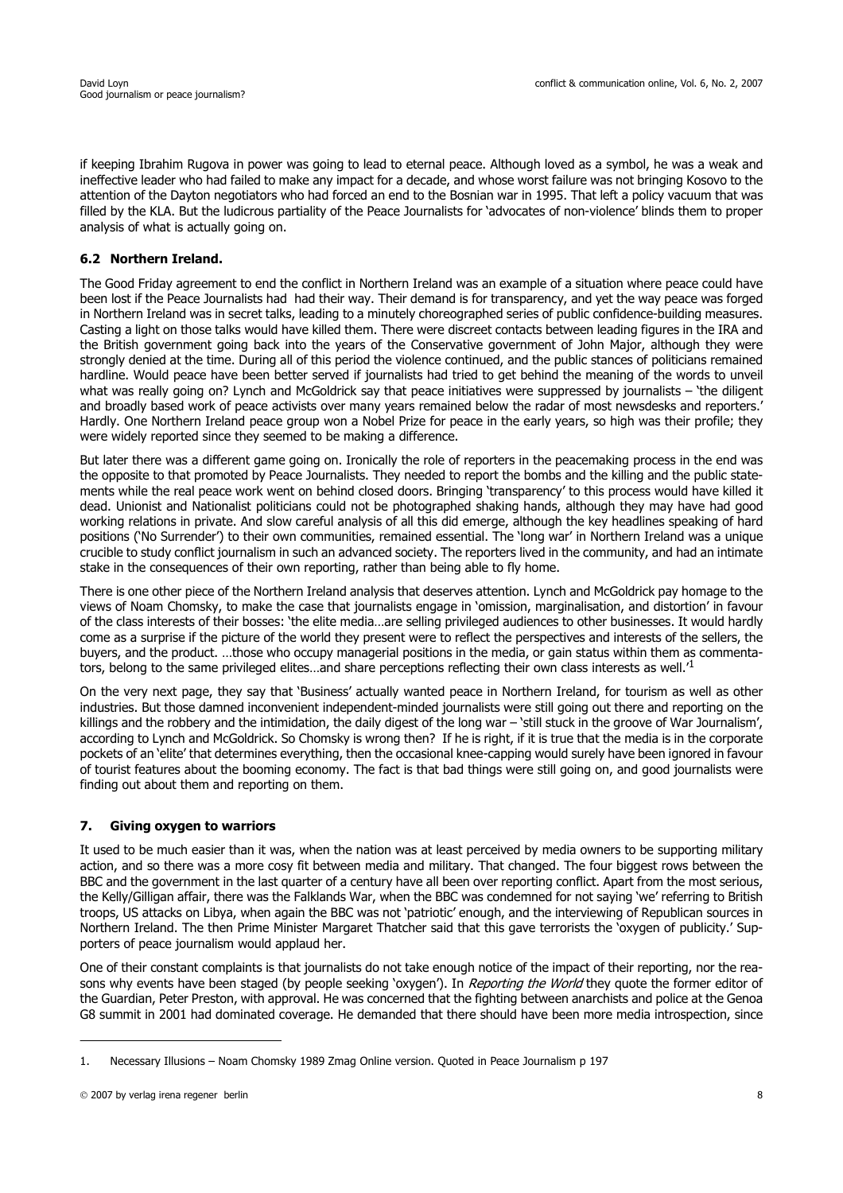if keeping Ibrahim Rugova in power was going to lead to eternal peace. Although loved as a symbol, he was a weak and ineffective leader who had failed to make any impact for a decade, and whose worst failure was not bringing Kosovo to the attention of the Dayton negotiators who had forced an end to the Bosnian war in 1995. That left a policy vacuum that was filled by the KLA. But the ludicrous partiality of the Peace Journalists for 'advocates of non-violence' blinds them to proper analysis of what is actually going on.

# **6.2 Northern Ireland.**

The Good Friday agreement to end the conflict in Northern Ireland was an example of a situation where peace could have been lost if the Peace Journalists had had their way. Their demand is for transparency, and yet the way peace was forged in Northern Ireland was in secret talks, leading to a minutely choreographed series of public confidence-building measures. Casting a light on those talks would have killed them. There were discreet contacts between leading figures in the IRA and the British government going back into the years of the Conservative government of John Major, although they were strongly denied at the time. During all of this period the violence continued, and the public stances of politicians remained hardline. Would peace have been better served if journalists had tried to get behind the meaning of the words to unveil what was really going on? Lynch and McGoldrick say that peace initiatives were suppressed by journalists – 'the diligent and broadly based work of peace activists over many years remained below the radar of most newsdesks and reporters.' Hardly. One Northern Ireland peace group won a Nobel Prize for peace in the early years, so high was their profile; they were widely reported since they seemed to be making a difference.

But later there was a different game going on. Ironically the role of reporters in the peacemaking process in the end was the opposite to that promoted by Peace Journalists. They needed to report the bombs and the killing and the public statements while the real peace work went on behind closed doors. Bringing 'transparency' to this process would have killed it dead. Unionist and Nationalist politicians could not be photographed shaking hands, although they may have had good working relations in private. And slow careful analysis of all this did emerge, although the key headlines speaking of hard positions ('No Surrender') to their own communities, remained essential. The 'long war' in Northern Ireland was a unique crucible to study conflict journalism in such an advanced society. The reporters lived in the community, and had an intimate stake in the consequences of their own reporting, rather than being able to fly home.

There is one other piece of the Northern Ireland analysis that deserves attention. Lynch and McGoldrick pay homage to the views of Noam Chomsky, to make the case that journalists engage in 'omission, marginalisation, and distortion' in favour of the class interests of their bosses: 'the elite media…are selling privileged audiences to other businesses. It would hardly come as a surprise if the picture of the world they present were to reflect the perspectives and interests of the sellers, the buyers, and the product. …those who occupy managerial positions in the media, or gain status within them as commentators, belong to the same privileged elites...and share perceptions reflecting their own class interests as well.

On the very next page, they say that 'Business' actually wanted peace in Northern Ireland, for tourism as well as other industries. But those damned inconvenient independent-minded journalists were still going out there and reporting on the killings and the robbery and the intimidation, the daily digest of the long war – 'still stuck in the groove of War Journalism', according to Lynch and McGoldrick. So Chomsky is wrong then? If he is right, if it is true that the media is in the corporate pockets of an 'elite' that determines everything, then the occasional knee-capping would surely have been ignored in favour of tourist features about the booming economy. The fact is that bad things were still going on, and good journalists were finding out about them and reporting on them.

# **7. Giving oxygen to warriors**

It used to be much easier than it was, when the nation was at least perceived by media owners to be supporting military action, and so there was a more cosy fit between media and military. That changed. The four biggest rows between the BBC and the government in the last quarter of a century have all been over reporting conflict. Apart from the most serious, the Kelly/Gilligan affair, there was the Falklands War, when the BBC was condemned for not saying 'we' referring to British troops, US attacks on Libya, when again the BBC was not 'patriotic' enough, and the interviewing of Republican sources in Northern Ireland. The then Prime Minister Margaret Thatcher said that this gave terrorists the 'oxygen of publicity.' Supporters of peace journalism would applaud her.

One of their constant complaints is that journalists do not take enough notice of the impact of their reporting, nor the reasons why events have been staged (by people seeking 'oxygen'). In Reporting the World they quote the former editor of the Guardian, Peter Preston, with approval. He was concerned that the fighting between anarchists and police at the Genoa G8 summit in 2001 had dominated coverage. He demanded that there should have been more media introspection, since

<sup>1.</sup> Necessary Illusions – Noam Chomsky 1989 Zmag Online version. Quoted in Peace Journalism p 197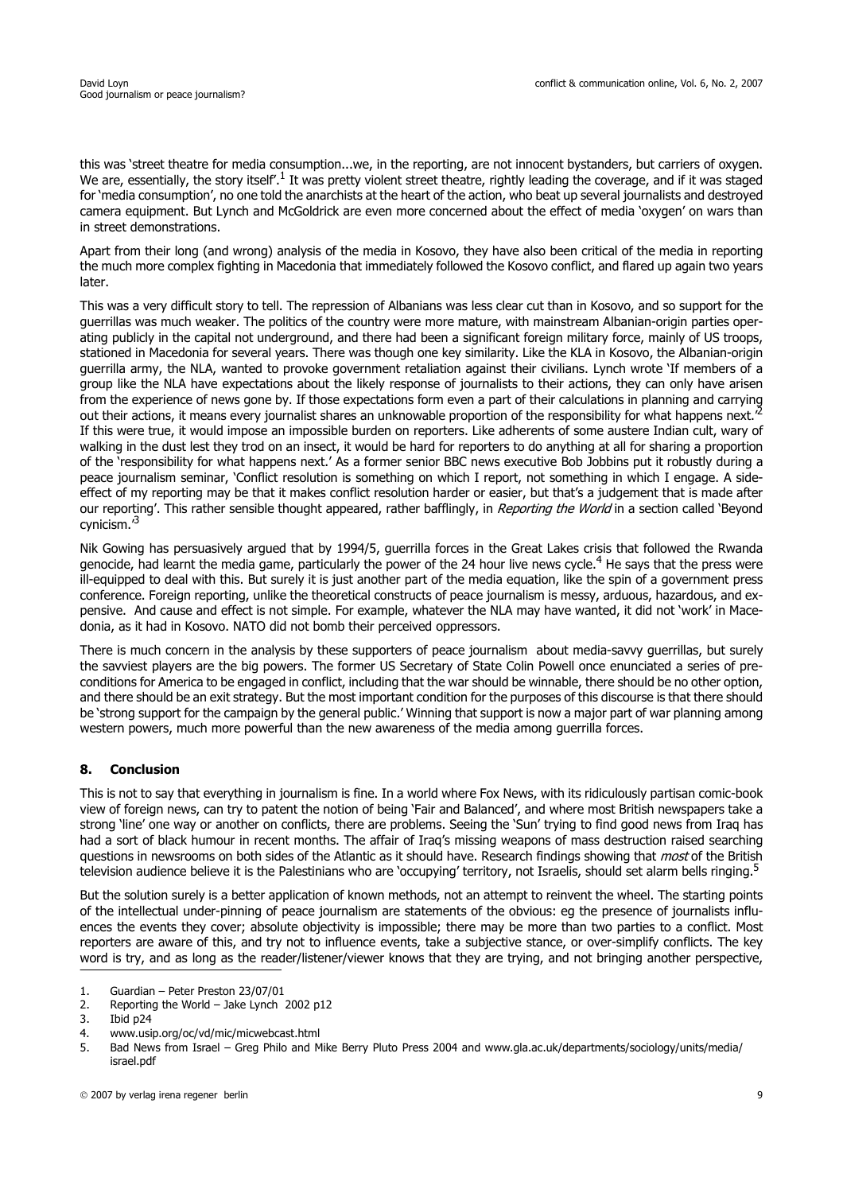this was 'street theatre for media consumption...we, in the reporting, are not innocent bystanders, but carriers of oxygen. We are, essentially, the story itself<sup>'.1</sup> It was pretty violent street theatre, rightly leading the coverage, and if it was staged for 'media consumption', no one told the anarchists at the heart of the action, who beat up several journalists and destroyed camera equipment. But Lynch and McGoldrick are even more concerned about the effect of media 'oxygen' on wars than in street demonstrations.

Apart from their long (and wrong) analysis of the media in Kosovo, they have also been critical of the media in reporting the much more complex fighting in Macedonia that immediately followed the Kosovo conflict, and flared up again two years later.

This was a very difficult story to tell. The repression of Albanians was less clear cut than in Kosovo, and so support for the guerrillas was much weaker. The politics of the country were more mature, with mainstream Albanian-origin parties operating publicly in the capital not underground, and there had been a significant foreign military force, mainly of US troops, stationed in Macedonia for several years. There was though one key similarity. Like the KLA in Kosovo, the Albanian-origin guerrilla army, the NLA, wanted to provoke government retaliation against their civilians. Lynch wrote 'If members of a group like the NLA have expectations about the likely response of journalists to their actions, they can only have arisen from the experience of news gone by. If those expectations form even a part of their calculations in planning and carrying out their actions, it means every journalist shares an unknowable proportion of the responsibility for what happens next.<sup>2</sup> If this were true, it would impose an impossible burden on reporters. Like adherents of some austere Indian cult, wary of walking in the dust lest they trod on an insect, it would be hard for reporters to do anything at all for sharing a proportion of the 'responsibility for what happens next.' As a former senior BBC news executive Bob Jobbins put it robustly during a peace journalism seminar, 'Conflict resolution is something on which I report, not something in which I engage. A sideeffect of my reporting may be that it makes conflict resolution harder or easier, but that's a judgement that is made after our reporting'. This rather sensible thought appeared, rather bafflingly, in Reporting the World in a section called 'Beyond cynicism.'3

Nik Gowing has persuasively argued that by 1994/5, guerrilla forces in the Great Lakes crisis that followed the Rwanda genocide, had learnt the media game, particularly the power of the 24 hour live news cycle.<sup>4</sup> He says that the press were ill-equipped to deal with this. But surely it is just another part of the media equation, like the spin of a government press conference. Foreign reporting, unlike the theoretical constructs of peace journalism is messy, arduous, hazardous, and expensive. And cause and effect is not simple. For example, whatever the NLA may have wanted, it did not 'work' in Macedonia, as it had in Kosovo. NATO did not bomb their perceived oppressors.

There is much concern in the analysis by these supporters of peace journalism about media-savvy guerrillas, but surely the savviest players are the big powers. The former US Secretary of State Colin Powell once enunciated a series of preconditions for America to be engaged in conflict, including that the war should be winnable, there should be no other option, and there should be an exit strategy. But the most important condition for the purposes of this discourse is that there should be 'strong support for the campaign by the general public.' Winning that support is now a major part of war planning among western powers, much more powerful than the new awareness of the media among guerrilla forces.

# **8. Conclusion**

This is not to say that everything in journalism is fine. In a world where Fox News, with its ridiculously partisan comic-book view of foreign news, can try to patent the notion of being 'Fair and Balanced', and where most British newspapers take a strong 'line' one way or another on conflicts, there are problems. Seeing the 'Sun' trying to find good news from Iraq has had a sort of black humour in recent months. The affair of Iraq's missing weapons of mass destruction raised searching questions in newsrooms on both sides of the Atlantic as it should have. Research findings showing that *most* of the British television audience believe it is the Palestinians who are 'occupying' territory, not Israelis, should set alarm bells ringing.<sup>5</sup>

But the solution surely is a better application of known methods, not an attempt to reinvent the wheel. The starting points of the intellectual under-pinning of peace journalism are statements of the obvious: eg the presence of journalists influences the events they cover; absolute objectivity is impossible; there may be more than two parties to a conflict. Most reporters are aware of this, and try not to influence events, take a subjective stance, or over-simplify conflicts. The key word is try, and as long as the reader/listener/viewer knows that they are trying, and not bringing another perspective,

4. www.usip.org/oc/vd/mic/micwebcast.html

<sup>1.</sup> Guardian – Peter Preston 23/07/01

<sup>2.</sup> Reporting the World – Jake Lynch 2002 p12

<sup>3.</sup> Ibid p24

<sup>5.</sup> Bad News from Israel – Greg Philo and Mike Berry Pluto Press 2004 and www.gla.ac.uk/departments/sociology/units/media/ israel.pdf